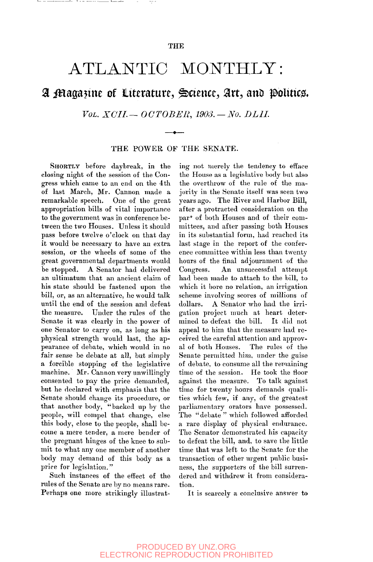## ATLANTIC MONTHLY:

## *^* **^aga^me of literature, Science, lart, auD ^olitic^.**

*Vol. XCII.* — *OCTOBER, 1903.* — No. *DLII.* 

THE POWER OF THE SENATE.

SHORTLY before daybreak, in the closing night of the session of the Congress which came to an end on the 4th of last March, Mr. Cannon made a remarkable speech. One of the great appropriation bills of vital importance to the government was in conference between the two Houses. Unless it should pass before twelve o'clock on that day it would be necessary to have an extra session, or the wheels of some of the great governmental departments would be stopped. A Senator had delivered an ultimatum that an ancient claim of his state should be fastened upon the bill, or, as an alternative, he would talk until the end of the session and defeat the measure. Under the rules of the Senate it was clearly in the power of one Senator to carry on, as long as his physical strength would last, the appearance of debate, which would in no fair sense be debate at all, but simply a forcible stopping of the legislative machine. Mr. Cannon very unwillingly consented to pay the price demanded, but he declared with emphasis that the Senate should change its procedure, or that another body, "backed up by the people, will compel that change, else this body, close to the people, shall become a mere tender, a mere bender of the pregnant him  $\ell$  is the knee to subme pregnant miges of the knee to subbody may one member of another  $\frac{1}{2}$  may demand of

<u>. –</u> 1. . . . . .

a di mana anche

Such instances of the effect of the rules of the Senate are by no means rare. Perhaps one more strikingly illustrating not merely the tendency to efface the House as a legislative body but also the overthrow of the rule of the majority in the Senate itself was seen two years ago. The River and Harbor Bill, after a protracted consideration on the par<sup>\*</sup> of both Houses and of their committees, and after passing both Houses in its substantial form, had reached its last stage in the report of the conference committee within less than twenty hours of the final adjournment of the Congress. An unsuccessful attempt had been made to attach to the bill, to which it bore no relation, an irrigation scheme involving scores of millions of dollars. A Senator who had the irrigation project much at heart determined to defeat the bill. It did not appeal to him that the measure had received the careful attention and approval of both Houses. The rules of the Senate permitted him, under the guise of debate, to consume all the remaining time of the session. He took the floor against the measure. To talk against time for twenty hours demands qualities which few, if any, of the greatest parliamentary orators have possessed. The "debate" which followed afforded a rare display of physical endurance. a rare display of physical endurance. the deflator definitionated installation to defeat the bill, and, to save the little<br>time that was left to the Senate for the trine that was felt to the senate for the transaction of other urgent public business, the supporters of the bill surrendered and withdrew it from considera-<br>tion.

It is scarcely a conclusive answer to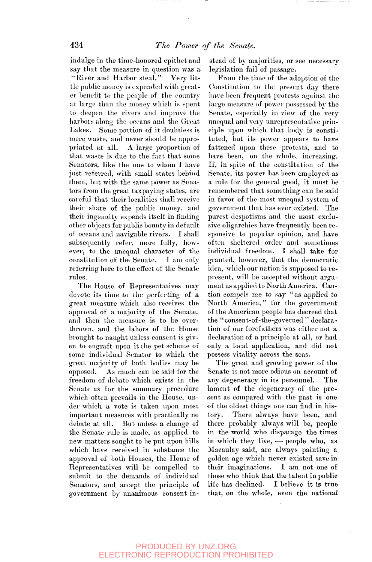indulge in the time-honored epithet and say that the measure in question was a "River and Harbor steal." Very little public money is expended with greater benefit to the people of the country at large than the money which is spent to deepen the rivers and improve the harbors along the oceans and the Great Lakes. Some portion of it doubtless is mere waste, and never should be appropriated at all. A large proportion of tliat waste is due to the fact that some Senators, like the one to whom I have just referred, with small states behind them, but with the same power as Senators from the great taxpaying states, are careful that their localities shall receive their share of the public money, and their ingenuity expends itself in finding other objects for public bounty in default of oceans and navigable rivers. I shall subsequently refer, more fully, however, to the unequal character of the constitution of the Senate. I am only referring here to the effect of the Senate rules.

The House of Representatives may devote its time to the perfecting of a great measure which also receives the approval of a majority of the Senate, and then the measure is to be overthrown, and the labors of the House brought to naught unless consent is given to engraft upon it the pet scheme of some individual Senator to which the great majority of both bodies may be opposed. As much can be said for the freedom of debate which exists in the Senate as for the summary procedure which often prevails in the House, under which a vote is taken upon most important measures with practically no debate at all. But unless a change of the Senate rule is made, as applied to new matters sought to be put upon bills which have received in substance the approval of both Houses, the House of Representatives will be compelled to submit to the demands of individual Senators, and accept the principle of government by unanimous consent instead of by majorities, or see necessary legislation fail of passage.

From the time of the adoption of the Constitution to the present day there have been frequent protests against the large measure of power possessed by the Senate, especially in view of the very unequal and very unrepresentative principle upon which that body is constituted, but its power appears to have fattened upon these protests, and to have been, on the whole, increasing. If, in spite of the constitution of the Senate, its power has been employed as a rule for the general good, it must be remembered that something can be said in favor of the most unequal system of government that has ever existed. The purest despotisms and the most exclusive oligarchies have frequently been responsive to popular opinion, and have often sheltered order and sometimes individual freedom. I shall take for granted, however, that the democratic idea, which our nation is supposed to represent, will be accepted without argument as applied to North America. Caution compels me to say "as applied to North America," for the government of the American people has decreed that the "consent-of-the-governed " declaration of our forefathers was either not a declaration of a principle at all, or had declaration of a principle at an, or had possess vitality and search the sease of the sease.

The great and growing power of the Senate is not more odious on account of any degeneracy in its personnel. The lament of the degeneracy of the present as compared with the past is one of the oldest things one can find in history. There always have been, and there probably always will be, people in the world who disparage the times in which they live, — people who, as Macaulay said, are always painting a golden age which never existed save in their imaginations. I am not one of those who think that the talent in public life has declined. I believe it is true that, on the whole, even the national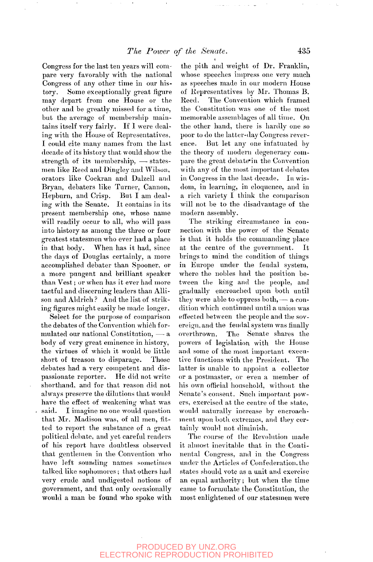Congress for the last ten years will compare very favorably with the national Congress of any other time in our history. Some exceptionally great figure may depart from one House or the other and be greatly missed for a time, but the average of membership maintains itself very fairly. If I were dealing with the House of Representatives, I could cite many names from the last decade of its history that would show the strength of its membership, — statesmen like Reed and Dingley and Wilson, orators like Cockran and Dalzell and Bryan, debaters like Turner, Cannon, Hepburn, and Crisp. But I am dealing with the Senate. It contains in its present membership one, whose name will readily occur to all, who will pass into history as among the three or four greatest statesmen who ever had a place in that body. When has it had, since the days of Douglas certainly, a more accomplished debater than Spooner, or accomprished depart than spooner, or a more pungent and brilliant speaker<br>than Vest; or when has it ever had more than  $\mathbf{v}$  est, or when has never had more sactiul and discerning readers than Allison and Aldrich? And the list of striking figures might easily be made longer.

Select for the purpose of comparison the debates of the Convention which formulated our national Constitution,  $-$  a body of very great eminence in history, the virtues of which it would be little<br>short of treason to disparage. Those short of treason to disparage. debates had a very competent and dis-<br>passionate reporter. He did not write passionate reporter. shorthand, and for that reason did not always preserve the dilutions that would have the effect of weakening what was<br>said. I imagine no one would question I imagine no one would question that Mr. Madison was, of all men, fitted to report the substance of a great political debate, and yet careful readers of his report have doubtless observed that gentlemen in the Convention who have left sounding names sometimes talked like sophomores; that others had very crude and undigested notions of government, and that only occasionally would a man be found who spoke with

the pith and weight of Dr. Franklin, whose speeches impress one very much as speeches made in our modern House of Representatives by Mr. Thomas B. Eeed. The Convention which framed the Constitution was one of the most memorable assemblages of all time. On the other hand, there is hardly one so poor to do the latter-day Congress reverence. But let any one infatuated by the theory of modern degeneracy compare the great debate" in the Convention with any of the most important debates in Congress in the last decade. In wisdom, in learning, in eloquence, and in a rich variety I think the comparison will not be to the disadvantage of the modern assembly.

The striking circumstance in connection with the power of the Senate is that it holds the commanding place at the centre of the government. It brings to mind the condition of things in Europe under the feudal system, where the nobles had the position between the king and the people, and gradually encroaclied upon both until they were able to oppress both,— a condition which continued until a union was effected between the people and the sovereign, and the feudal system was finally overthrown. The Senate shares the powers of legislation with the House and some of the most important executive functions with the President. The latter is unable to appoint a collector or a postmaster, or even a member of his own official household, without the Senate's consent. Such important powers, exercised at the centre of the state, would naturally increase by encroachment upon both extremes, and they certainly would not diminish.

The course of the Revolution made it almost inevitable that in the Continental Congress, and in the Congress under the Articles of Confederation.the states should vote as a unit and exercise an equal authority; but when the time came to formulate the Constitution, the most enlightened of our statesmen were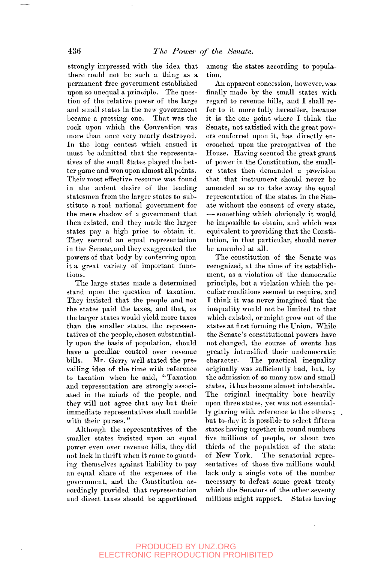strongly impressed with the idea that there could not he such a thing as a permanent free government established upon so unequal a principle. The question of the relative power of the large and small states in the new government became a pressing one. That was the rock upon which the Convention was more than once very nearly destroyed. In the long contest which ensued it must be admitted that the representatives of the small States played the better game and won upon almost all points. Their most effective resource was found in the ardent desire of the leading statesmen from the larger states to substitute a real national government for the mere shadow of a government that then existed, and they made the larger states pay a high price to obtain it. They secured an equal representation in the Senate, and they exaggerated the powers of that body by conferring upon powers of that body by contenting upon tions.

The large states made a determined stand upon the question of taxation. They insisted that the people and not the states paid the taxes, and that, as the larger states would yield more taxes than the smaller states, the representatives of the people, chosen substantially upon the basis of population, should have a peculiar control over revenue bills. Mr. Gerry well stated the prevailing idea of the time with reference to taxation when he said, "Taxation and representation are strongly associated in the minds of the people, and they will not agree that any but their immediate representatives shall meddle with their purses."

Although the representatives of the smaller states insisted upon an equal power even over revenue bills, they did not lack in thrift when it came to guarding themselves against liability to pay an equal sliare of the expenses of the government, and the Constitution accordingly provided that representation and direct taxes should be apportioned among the states according to population.

An apparent concession, however, was finally made by the small states with regard to revenue bills, and I shall refer to it more fully hereafter, because it is the one point where I think the Senate, not satisfied with the great powers conferred upon it, has directly encroached upon the prerogatives of the House. Having secured the great grant of power in the Constitution, the smaller states then demanded a provision that that instrument should never be amended so as to take away the equal representation of the states in the Senate without the consent of every state, — something which obviously it would be impossible to obtain, and which was equivalent to providing that the Constitution, in that particular, should never be amended at all.

The constitution of the Senate was recognized, at the time of its establishment, as a violation of the democratic principle, but a violation which the peculiar conditions seemed to require, and I think it was never imagined that the inequality would not be limited to that which existed, or might grow out of the states at first forming the Union. While the Senate's constitutional powers have not changed, the course of events has greatly intensified their undemocratic character. The practical inequality originally was sufficiently bad, but, by the admission of so many new and small states, it has become almost intolerable. The original inequality bore heavily upon three states, yet was not essentially glaring with reference to the others; but to-day it is possible to select fifteen states having together in round numbers five millions of people, or about two thirds of the population of the state of New York. The senatorial representatives of those five millions would lack only a single vote of the number necessary to defeat some great treaty which the Senators of the other seventy millions might support. States having

PRODUCED BY UNZ.ORG ELECTRONIC REPRODUCTION PROHIBITED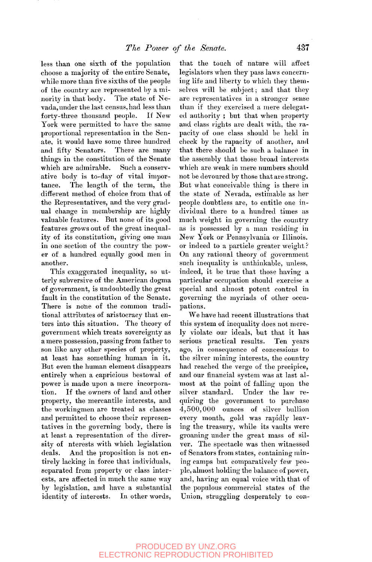less than one sixth of the population choose a majority of the entire Senate, while more than five sixths of the people of the country are represented by a minority in that body. The state of Nevada, under the last census, had less than forty-three thousand people. If New York were permitted to have the same proportional representation in the Senate, it would have some three hundred and fifty Senators. There are many things in the constitution of the Senate which are admirable. Such a conservative body is to-day of vital importance. The length of the term, the different method of choice from that of the Representatives, and the very gradual change in membership are highly valuable features. But none of its good features grows out of the great inequality of its constitution, giving one man in one section of the country the power of a hundred equally good men in another.

This exaggerated inequality, so utterly subversive of the American dogma of government, is undoubtedly the great fault in the constitution of the Senate. There is none of the common traditional attributes of aristocracy that enters into this situation. The theory of government which treats sovereignty as a mere possession, passing from father to son like any other species of property, at least has something human in it. But even the human element disappears entirely when a capricious bestowal of power is made upon a mere incorporation. If the owners of land and other property, the mercantile interests, and the workingmen are treated as classes and permitted to choose their representatives in the governing body, there is at least a representation of the diversity of nterests with which legislation deals. And the proposition is not entirely lacking in force that individuals, separated from property or class interests, are affected in much the same way by legislation, and have a substantial identity of interests. In other words,

that the touch of nature will affect legislators when they pass laws concerning life and liberty to which they themselves will he subject; and that they are representatives in a stronger sense than if they exercised a mere delegated authority; but that when property and class rights are dealt with, the rapacity of one class should be held in check by the rapacity of another, and that there should be such a balance in the assembly that those broad interests which are weak in mere numbers should not be devoured by those that are strong. But what conceivable thing is there in the state of Nevada, estimable as her people doubtless are, to entitle one individual there to a hundred times as much weight in governing the country as is possessed by a man residing in New York or Pennsylvania or Illinois, or indeed to a particle greater weight ? On any rational theory of government on any radional dictity of government such inequality is untilinkable, unless, indeed, it be true that those having a<br>particular occupation should exercise a particular occupation should exercise a special and almost potent control in governing the myriads of other occu-<br>pations.

We have had recent illustrations that this system of inequality does not merely violate our ideals, hut that it has serious practical results. Ten years ago, in consequence of concessions to the silver mining interests, the country had reached the verge of the precipice, and our financial system was at last almost at the point of falling upon the silver standard. Under the law requiring the government to purchase 4,500,000 ounces of silver bullion every month, gold was rapidly leaving the treasury, while its vaults were groaning under the great mass of silver. The spectacle was then witnessed of Senators from states, containing mining camps but comparatively few people, almost holding the balance of power, and, having an equal voice with that of the populous commercial states of the Union, struggling desperately to con-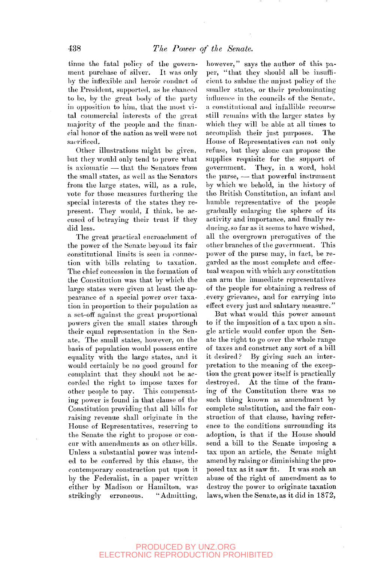tinue the fatal policy of the government purchase of silver. It was only by the inflexible and heroic conduct of the President, supported, as he chanced to bo, by the great body of the party in opposition to him, that the most vital commercial interests of the great majority of the people and the financial honor of the nation as well were not sacrificed.

Other illustrations might be given, but they would only tend to prove what is axiomatic — that the Senators from the small states, as well as the Senators from the large states, will, as a rule, vote for those measures furthering the special interests of the states they represent. They would, I think, be accused of betraying their trust if they did less.

The great practical encroachment of the power of the Senate beyond its fair constitutional limits is seen in connection with bills relating to taxation. The chief concession in the formation of the Constitution was that by which the large states were given at least the appearance of a special power over taxation in proportion to their population as a set-off against the great proportional powers given the small states through their equal representation in the Senate. The small states, however, on the basis of population would possess entire equality with the large states, and it would certainly be no good ground for complaint that they should not be accorded the right to impose taxes for other people to pay. This compensating power is found in that clause of the Constitution providing that all bills for raising revenue shall originate in the House of Eepresentatives, reserving to the Senate the right to propose or concur with amendments as on other bills. Unless a substantial power was intended to be conferred by this clause, the contemporary construction put upon it by the Federalist, in a paper written either by Madison or Hamilton, was strikingly erroneous. "Admitting,

however," says the author of this paper, "that they should all be insufficient to subdue the unjust policy of the smaller states, or their predominating influence in the councils of the Senate, a constitutional and infallible recourse still remains with the larger states by which they will be able at all times to accomplish their just purposes. The House of Representatives can not only refuse, but they alone can propose the supplies requisite for the support of government. They, in a word, hold the purse, — that powerful instrument by which we behold, in the history of the British Constitution, an infant and humble representative of the people gradually enlarging the sphere of its activity and importance, and finally reducing, so far as it seems to have wished, all the overgrown prerogatives of the other brandies of the government. This power of the purse niay, in fact, be regarded as the most complete and effectual weapon with which any constitution can arm the immediate representatives of the people for obtaining a redress of or the people for obtaining a retiress of every grievance, and for earlying moo effect every just and salutary measure."

But what would this power amount<br>to if the imposition of a tax upon a sin- $\frac{1}{2}$  are the deposition of a case the Sengie article would conter upon the wenate the right to go over the whole range of taxes and construct any sort of a bill<br>it desired? By giving such an inter-By giving such an interpretation to the meaning of the exception the great power itself is practically destroved. At the time of the framing of the Constitution there was no such thing known as amendment by complete substitution, and the fair construction of that clause, having reference to the conditions surrounding its adoption, is that if the House should send a bill to the Senate imposing a tax upon an article, the Senate might amend by raising or diminishing the proposed tax as it saw fit. It was such an abuse of the right of amendment as to destroy the power to originate taxation laws, when the Senate, as it did in 1872,

## PRODUCED BY UNZ.ORG ELECTRONIC REPRODUCTION PROHIBITED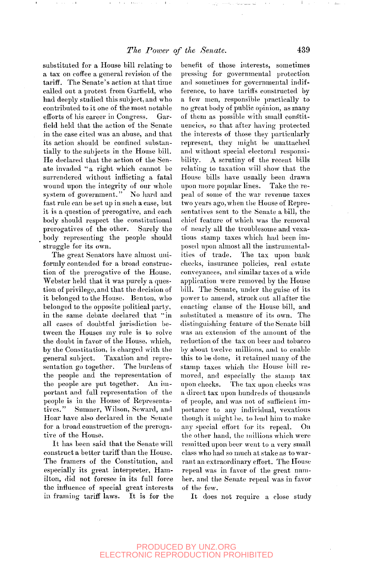substituted for a House bill relating to a tax on coffee a general revision of the tariff. The Senate's action at that time called out a protest from Garfield, who had deeply studied this subject, and who contributed to it one of the most notable efforts of his career in Congress. Garfield held that the action of the Senate in the case cited was an abuse, and that its action should be confined substantially to the subjects in the House bill. He declared that the action of the Senate invaded "a right which cannot be surrendered without inflicting a fatal wound upon the integrity of our whole system of government." No hard and fast rule can be set up in such a case, but it is a question of prerogative, and each body should respect the constitutional prerogatives of the other. Surely the body representing the people should struggle for its own.

The great Senators have almost uniformly contended for a broad construction of the prerogative of the House. Webster held that it was purely a question of privilege, and that the decision of it belonged to the House. Benton, who belonged to the opposite political party, in the same debate declared that "in all cases of doubtful jurisdiction between the Houses my rule is to solve the doubt in favor of the House, which, by the Constitution, is charged with the general subject. Taxation and representation go together. The burdens of the people and the representation of the people are put together. An important and full representation of the people is in the House of Representatives." Sumner, Wilson, Seward, and Hoar have also declared in the Senate for a broad construction of the prerogative of the House.

It has been said that the Senate will construct a better tariff than the House. The framers of the Constitution, and especially its great interpreter, Hamilton, did not foresee in its full force the influence of special great interests in framing tariff laws. It is for the benefit of those interests, sometimes pressing for governmental protection and sometimes for governmental indifference, to have tariffs constructed by a few men, responsible practically to no great body of public opinion, as many of them as possible with small constituencies, so that after having protected the interests of those they particularly represent, they might be unattached and without special electoral responsibility. A scrutiny of the recent bills relating to taxation will show that the House bills have usually been drawn upon more popular lines. Take the repeal of some of the war revenue taxes two years ago, when the House of Representatives sent to the Senate a bill, the chief feature of which was the removal of nearly all the troublesome and vexatious stamp taxes which had been imposed upon almost all the instrumentalities of trade. The tax upon bank checks, insurance policies, real estate conveyances, and similar taxes of a wide application were removed by the House bill. The Senate, under the guise of its power to amend, struck out all after the power to amend, struck out an artier the enacting clause of the House off, and substituted a measure of its own. The distinguishing feature of the Senate bill was an extension of the amount of the reduction of the tax on beer and to bacco by about twelve millions, and to enable this to be done, it retained many of the stamp taxes which the House bill removed, and especially the stamp tax<br>upon checks. The tax upon checks was The tax upon checks was a direct tax upon hundreds of thousands of people, and was not of sufficient importance to any individual, vexatious though it might be, to lead him to make<br>any special effort for its repeal. On any special effort for its repeal. the other hand, the millions which were remitted upon beer went to a very small class who had so much at stake as to warrant an extraordinary effort. The House repeal was in favor of the great number, and the Senate repeal was in favor of the few.

It does not require a close study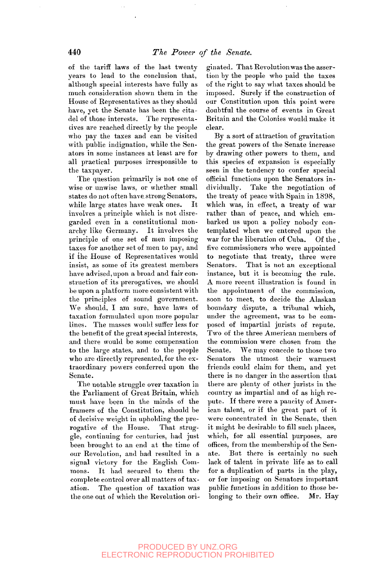of the tariff laws of the last twenty years to lead to the conclusion that, although special interests have fully as much consideration shown them in the House of Representatives as they should have, yet the Senate has been the citadel of those interests. The representatives are reached directly by the people who pay the taxes and can be visited with public indignation, while the Senators in some instances at least are for all practical purposes irresponsible to the taxpayer.

The question primarily is not one of wise or unwise laws, or whether small states do not often have, strong Senators, while large states have weak ones. It involves a principle which is not disregarded even in a constitutional monarchy like Germany. It involves the principle of one set of men imposing taxes for another set of men to pay, and if the House of Representatives would insist, as some of its greatest members have advised,upon a broad and fair construction of its prerogatives, we should be upon a platform more consistent with the principles of sound government. We should, I am sure, have laws of taxation formulated upon more popular lines. The masses would suffer less for the benefit of the great special interests, and there would be some compensation to the large states, and to the people who are directly represented, for the extraordinary powers conferred upon the Senate.

The notable struggle over taxation in the Parliament of Great Britain, which must have been in the minds of the framers of the Constitution, should be of decisive weight in upholding the prerogative of the House. That struggle, continuing for centuries, had just been brought to an end at the time of our Revolution, and had resulted in a signal victory for the English Commons. It had secured to them the complete control over all matters of taxation. The question of taxation was the one out of which the Revolution ori-

ginated. That Revolution was the assertion by the people who paid the taxes of the right to say what taxes should be imposed. Surely if the construction of our Constitution upon this point were doubtful the course of events in Great Britain and the Colonies would make it clear.

By a sort of attraction of gravitation the great powers of the Senate increase by drawing other powers to them, and this species of expansion is especially seen in the tendency to confer special official functions upon the Senators individually. Take the negotiation of the treaty of peace with Spain in 1898, which was, in effect, a treaty of war rather than of peace, and which embarked us upon a policy nobody contemplated when we entered upon the war for the liberation of Cuba. Of the . five commissioners who were appointed to negotiate that treaty, three were Senators. That is not an exceptional instance, but it is becoming the rule. A more recent illustration is found in the appointment of the commission, soon to meet, to decide the Alaskan boundary dispute, a tribunal which, under the agreement, was to be composed of impartial jurists of repute. Two of the three American members of the commission were chosen from the Senate. We may concede to those two Senators the utmost their warmest friends could claim for them, and yet there is no danger in the assertion that there are plenty of other jurists in the country as impartial and of as high reput the matrix of  $\omega$  in the Country of American control of American control of American control of American control of American control of American control of American control of American control of American control of A part. It diese were a participy of American talent, or if the great part of it were concentrated in the Senate, then it might be desirable to fill such places, which, for all essential purposes, are offices, from the membership of the Sen-<br>ate. But there is certainly no such But there is certainly no such lack of talent in private life as to call for a duplication of parts in the play, or for imposing on Senators important public functions in addition to those be-<br>longing to their own office. Mr. Hay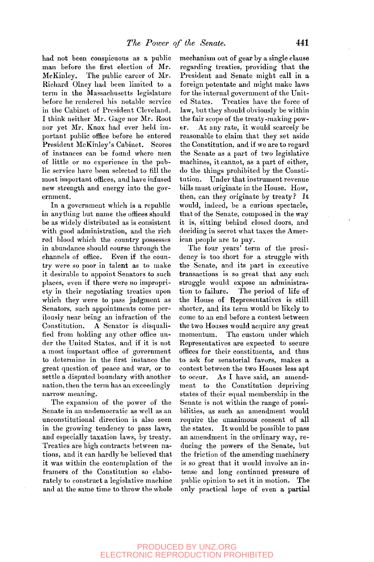had not been conspicuous as a public man before the first election of Mr. McKinley. The public career of Mr. Richard Olney had been limited to a term in the Massachusetts legislature before he rendered his notable service in the Cabinet of President Cleveland. I think neither Mr. Gage nor Mr. Root nor yet Mr. Knox had ever held important public office before he entered President McKinley's Cabinet. Scores of instances can be found where men of little or no experience in the public service have been selected to fill the most important oflices, and have infused new strength and energy into the government.

In a government which is a republic in anything but name the offices should be as widely distributed as is consistent with good administration, and the rich red blood which the country possesses in abundance should course through the channels of office. Even if the country were so poor in talent as to make it desirable to appoint Senators to such places, even if there were no impropriety in their negotiating treaties upon which they were to pass judgment as Senators, such appointments come perilously near being an infraction of the Constitution. A Senator is disqualified from holding any other office under the United States, and if it is not a most important office of government to determine in the first instance the great question of peace and war, or to settle a disputed boundary with another nation, then the term has an exceedingly narrow meaning.

The expansion of the power of the Senate in an undemocratic as well as an unconstitutional direction is also seen in the growing tendency to pass laws, and especially taxation laws, by treaty. Treaties are high contracts between nations, and it can hardly be believed that it was within the contemplation of the framers of the Constitution so elaborately to construct a legislative machine and at the same time to throw the whole mechanism out of gear by a single clause regarding treaties, providing that the President and Senate might call in a foreign potentate and might make laws for the internal government of the United States. Treaties have the force of law, but they should obviously be within the fair scope of the treaty-making power. At any rate, it would scarcely be reasonable to claim that they set aside the Constitution, and if we are to regard the Senate as a part of two legislative machines, it cannot, as a part of either, do the things prohibited by the Constitution. Under that instrument revenue bills must originate in the House. How, then, can they originate by treaty? It would, indeed, be a curious spectacle, that of the Senate, composed in the way it is, sitting behind closed doors, and deciding in secret what taxes the American people are to pay.

The four years' term of the presidency is too short for a struggle with the Senate, and its part in executive transactions is so great that any such struggle would expose an administration to failure. The period of life of the House of Representatives is still shorter, and its term would be likely to come to an end before a contest between the two Houses would acquire any great momentum. The custom under which Representatives are expected to secure offices for their constituents, and thus to ask for senatorial favors, makes a contest between the two Houses less apt to occur. As I have said, an amendment to the Constitution depriving states of their equal membership in the Senate is not within the range of possibilities, as such an amendment would require the unanimous consent of all the states. It would be possible to pass an amendment in the ordinary way, reducing the powers of the Senate, but the friction of the amending machinery is so great that it would involve an intense and long continued pressure of public and tong condition pressure of passic opinion to see it in motion. The